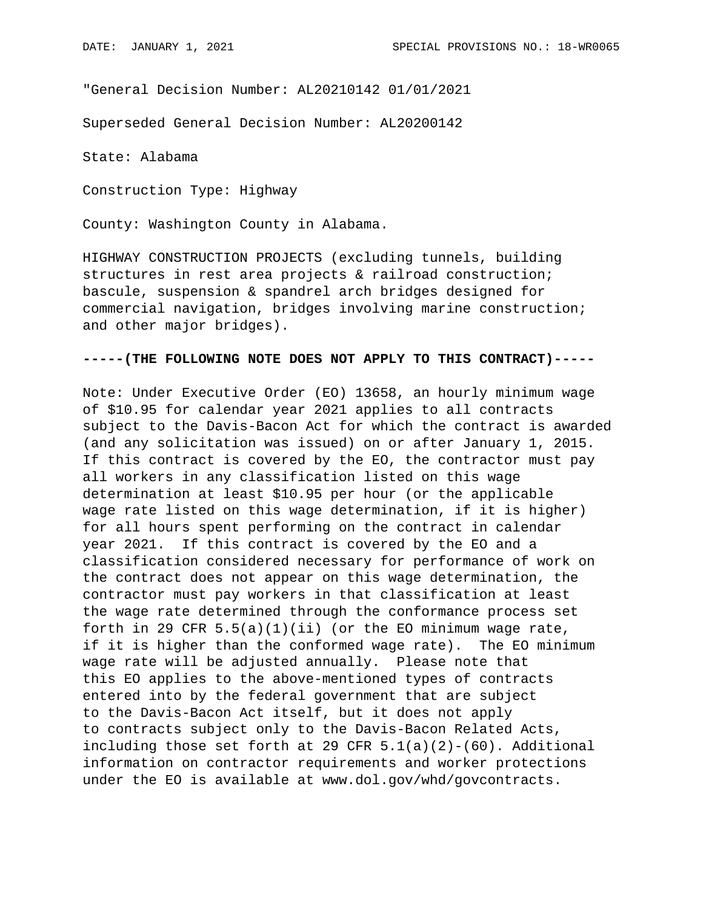"General Decision Number: AL20210142 01/01/2021

Superseded General Decision Number: AL20200142

State: Alabama

Construction Type: Highway

County: Washington County in Alabama.

HIGHWAY CONSTRUCTION PROJECTS (excluding tunnels, building structures in rest area projects & railroad construction; bascule, suspension & spandrel arch bridges designed for commercial navigation, bridges involving marine construction; and other major bridges).

## **-----(THE FOLLOWING NOTE DOES NOT APPLY TO THIS CONTRACT)-----**

Note: Under Executive Order (EO) 13658, an hourly minimum wage of \$10.95 for calendar year 2021 applies to all contracts subject to the Davis-Bacon Act for which the contract is awarded (and any solicitation was issued) on or after January 1, 2015. If this contract is covered by the EO, the contractor must pay all workers in any classification listed on this wage determination at least \$10.95 per hour (or the applicable wage rate listed on this wage determination, if it is higher) for all hours spent performing on the contract in calendar year 2021. If this contract is covered by the EO and a classification considered necessary for performance of work on the contract does not appear on this wage determination, the contractor must pay workers in that classification at least the wage rate determined through the conformance process set forth in 29 CFR  $5.5(a)(1)(ii)$  (or the EO minimum wage rate, if it is higher than the conformed wage rate). The EO minimum wage rate will be adjusted annually. Please note that this EO applies to the above-mentioned types of contracts entered into by the federal government that are subject to the Davis-Bacon Act itself, but it does not apply to contracts subject only to the Davis-Bacon Related Acts, including those set forth at 29 CFR  $5.1(a)(2)-(60)$ . Additional information on contractor requirements and worker protections under the EO is available at www.dol.gov/whd/govcontracts.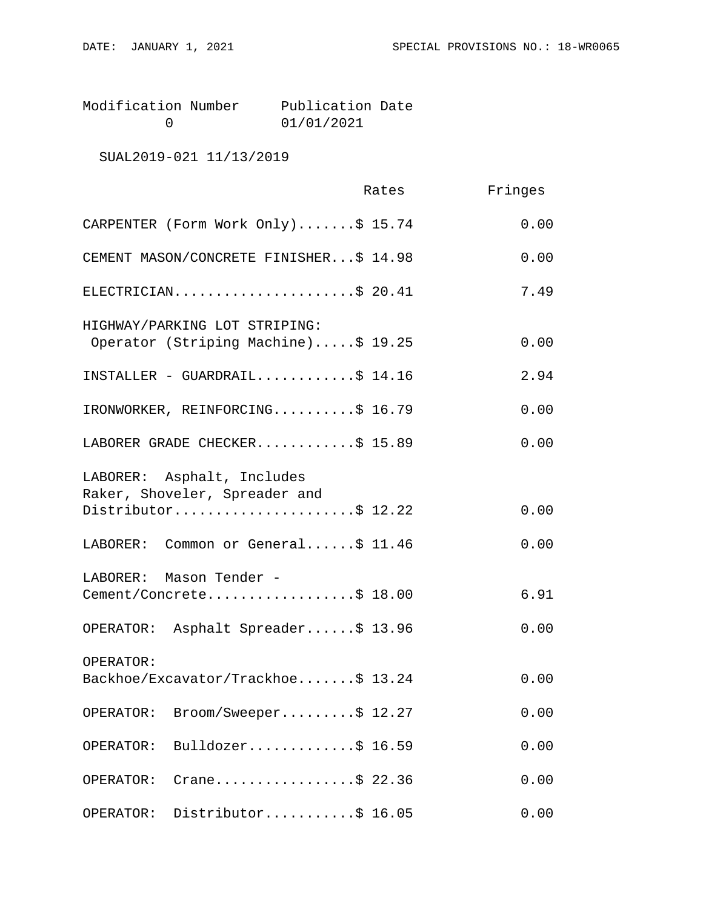| Modification Number | Publication Date |  |
|---------------------|------------------|--|
|                     | 01/01/2021       |  |

SUAL2019-021 11/13/2019

|                                                                      | Rates | Fringes |
|----------------------------------------------------------------------|-------|---------|
| CARPENTER (Form Work Only)\$ 15.74                                   |       | 0.00    |
| CEMENT MASON/CONCRETE FINISHER\$ 14.98                               |       | 0.00    |
| ELECTRICIAN\$ 20.41                                                  |       | 7.49    |
| HIGHWAY/PARKING LOT STRIPING:<br>Operator (Striping Machine)\$ 19.25 |       | 0.00    |
| INSTALLER - GUARDRAIL\$ 14.16                                        |       | 2.94    |
| IRONWORKER, REINFORCING\$ 16.79                                      |       | 0.00    |
| LABORER GRADE CHECKER\$ 15.89                                        |       | 0.00    |
| LABORER: Asphalt, Includes<br>Raker, Shoveler, Spreader and          |       | 0.00    |
| Distributor\$ 12.22                                                  |       |         |
| LABORER: Common or General\$ 11.46                                   |       | 0.00    |
| LABORER: Mason Tender -                                              |       |         |
| Cement/Concrete\$ 18.00                                              |       | 6.91    |
| OPERATOR: Asphalt Spreader\$ 13.96                                   |       | 0.00    |
| OPERATOR:                                                            |       |         |
| Backhoe/Excavator/Trackhoe\$ 13.24                                   |       | 0.00    |
| Broom/Sweeper\$ 12.27<br>OPERATOR:                                   |       | 0.00    |
| Bulldozer\$ 16.59<br>OPERATOR:                                       |       | 0.00    |
| Crane\$ 22.36<br>OPERATOR:                                           |       | 0.00    |
| Distributor\$ 16.05<br>OPERATOR:                                     |       | 0.00    |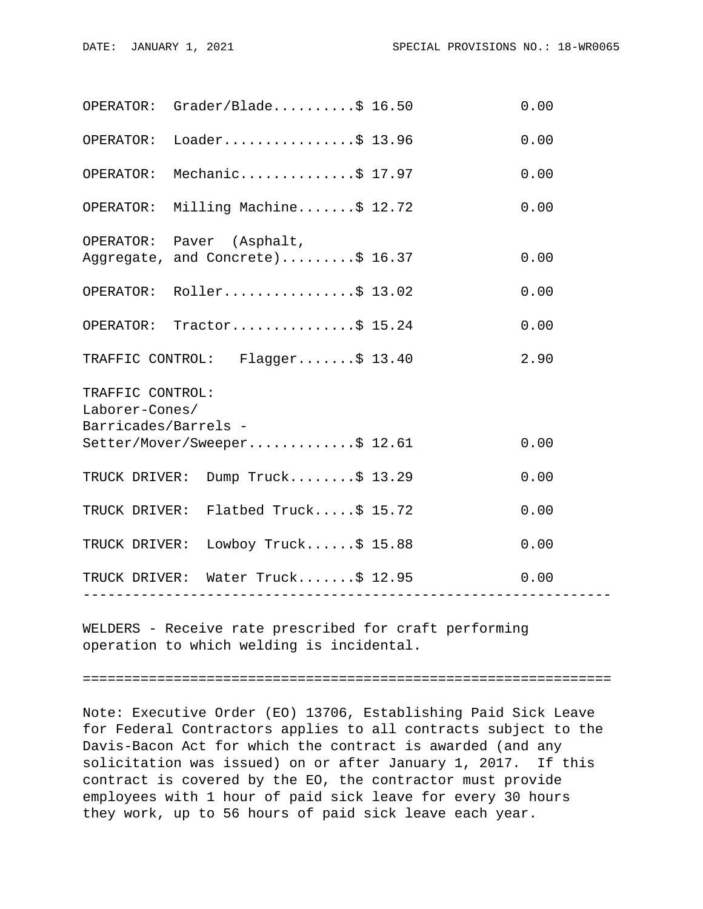|                                                            | OPERATOR: Grader/Black                                        |  | 0.00 |  |  |
|------------------------------------------------------------|---------------------------------------------------------------|--|------|--|--|
|                                                            | OPERATOR: Loader\$ 13.96                                      |  | 0.00 |  |  |
| OPERATOR:                                                  | Mechanic\$ 17.97                                              |  | 0.00 |  |  |
|                                                            | OPERATOR: Milling Machine\$ 12.72                             |  | 0.00 |  |  |
|                                                            | OPERATOR: Paver (Asphalt,<br>Aggregate, and Concrete)\$ 16.37 |  | 0.00 |  |  |
|                                                            | OPERATOR: Roller\$ 13.02                                      |  | 0.00 |  |  |
|                                                            | OPERATOR: Tractor\$ 15.24                                     |  | 0.00 |  |  |
|                                                            | TRAFFIC CONTROL: Flagger\$ 13.40                              |  | 2.90 |  |  |
| TRAFFIC CONTROL:<br>Laborer-Cones/<br>Barricades/Barrels - |                                                               |  |      |  |  |
|                                                            | Setter/Mover/Sweeper\$ 12.61                                  |  | 0.00 |  |  |
|                                                            | TRUCK DRIVER: Dump Truck\$ 13.29                              |  | 0.00 |  |  |
|                                                            | TRUCK DRIVER: Flatbed Truck\$ 15.72                           |  | 0.00 |  |  |
|                                                            | TRUCK DRIVER: Lowboy Truck\$ 15.88                            |  | 0.00 |  |  |
|                                                            | TRUCK DRIVER: Water Truck\$ 12.95                             |  | 0.00 |  |  |
|                                                            |                                                               |  |      |  |  |

WELDERS - Receive rate prescribed for craft performing operation to which welding is incidental.

================================================================

Note: Executive Order (EO) 13706, Establishing Paid Sick Leave for Federal Contractors applies to all contracts subject to the Davis-Bacon Act for which the contract is awarded (and any solicitation was issued) on or after January 1, 2017. If this contract is covered by the EO, the contractor must provide employees with 1 hour of paid sick leave for every 30 hours they work, up to 56 hours of paid sick leave each year.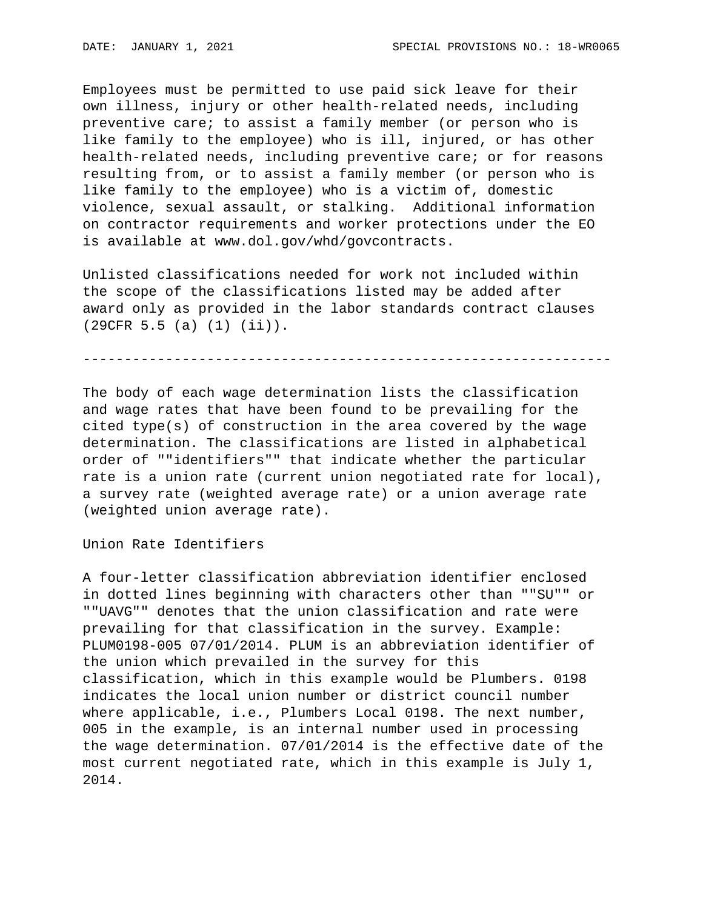Employees must be permitted to use paid sick leave for their own illness, injury or other health-related needs, including preventive care; to assist a family member (or person who is like family to the employee) who is ill, injured, or has other health-related needs, including preventive care; or for reasons resulting from, or to assist a family member (or person who is like family to the employee) who is a victim of, domestic violence, sexual assault, or stalking. Additional information on contractor requirements and worker protections under the EO is available at www.dol.gov/whd/govcontracts.

Unlisted classifications needed for work not included within the scope of the classifications listed may be added after award only as provided in the labor standards contract clauses (29CFR 5.5 (a) (1) (ii)).

----------------------------------------------------------------

The body of each wage determination lists the classification and wage rates that have been found to be prevailing for the cited type(s) of construction in the area covered by the wage determination. The classifications are listed in alphabetical order of ""identifiers"" that indicate whether the particular rate is a union rate (current union negotiated rate for local), a survey rate (weighted average rate) or a union average rate (weighted union average rate).

Union Rate Identifiers

A four-letter classification abbreviation identifier enclosed in dotted lines beginning with characters other than ""SU"" or ""UAVG"" denotes that the union classification and rate were prevailing for that classification in the survey. Example: PLUM0198-005 07/01/2014. PLUM is an abbreviation identifier of the union which prevailed in the survey for this classification, which in this example would be Plumbers. 0198 indicates the local union number or district council number where applicable, i.e., Plumbers Local 0198. The next number, 005 in the example, is an internal number used in processing the wage determination. 07/01/2014 is the effective date of the most current negotiated rate, which in this example is July 1, 2014.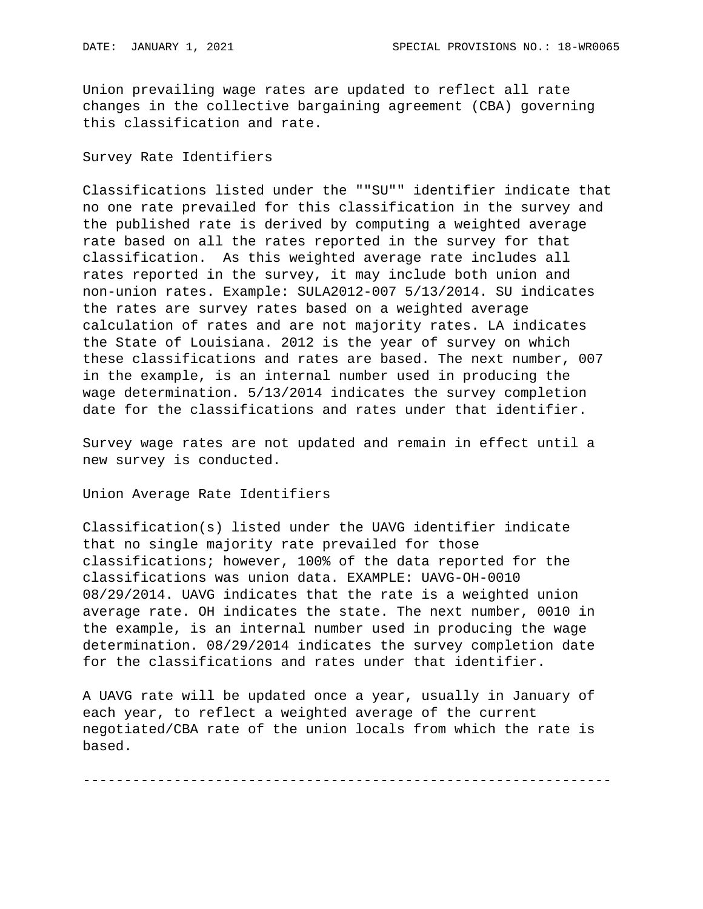Union prevailing wage rates are updated to reflect all rate changes in the collective bargaining agreement (CBA) governing this classification and rate.

## Survey Rate Identifiers

Classifications listed under the ""SU"" identifier indicate that no one rate prevailed for this classification in the survey and the published rate is derived by computing a weighted average rate based on all the rates reported in the survey for that classification. As this weighted average rate includes all rates reported in the survey, it may include both union and non-union rates. Example: SULA2012-007 5/13/2014. SU indicates the rates are survey rates based on a weighted average calculation of rates and are not majority rates. LA indicates the State of Louisiana. 2012 is the year of survey on which these classifications and rates are based. The next number, 007 in the example, is an internal number used in producing the wage determination. 5/13/2014 indicates the survey completion date for the classifications and rates under that identifier.

Survey wage rates are not updated and remain in effect until a new survey is conducted.

Union Average Rate Identifiers

Classification(s) listed under the UAVG identifier indicate that no single majority rate prevailed for those classifications; however, 100% of the data reported for the classifications was union data. EXAMPLE: UAVG-OH-0010 08/29/2014. UAVG indicates that the rate is a weighted union average rate. OH indicates the state. The next number, 0010 in the example, is an internal number used in producing the wage determination. 08/29/2014 indicates the survey completion date for the classifications and rates under that identifier.

A UAVG rate will be updated once a year, usually in January of each year, to reflect a weighted average of the current negotiated/CBA rate of the union locals from which the rate is based.

----------------------------------------------------------------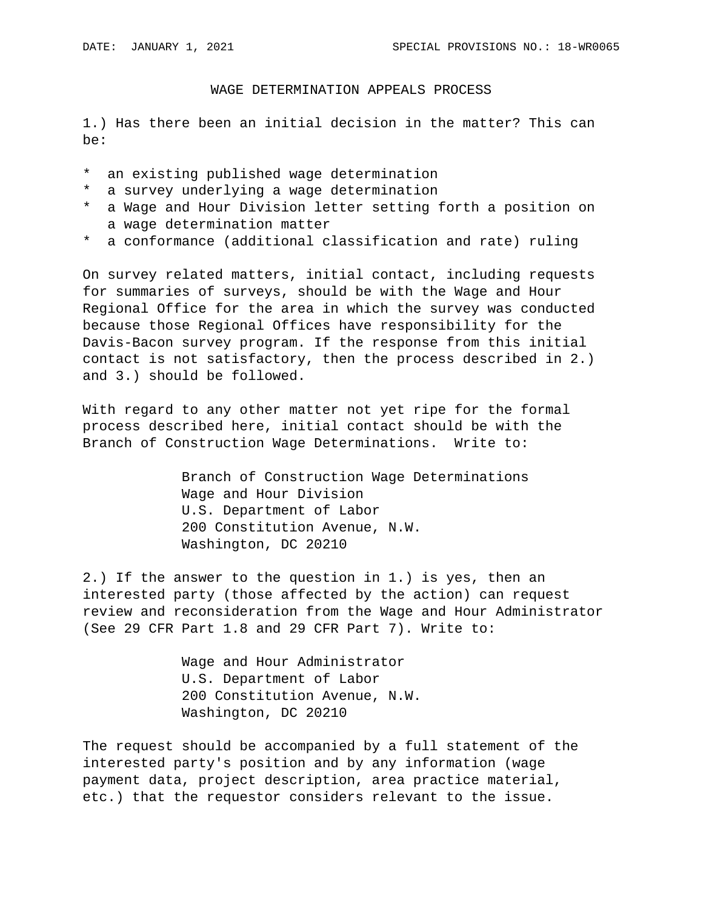## WAGE DETERMINATION APPEALS PROCESS

1.) Has there been an initial decision in the matter? This can be:

- \* an existing published wage determination
- \* a survey underlying a wage determination
- \* a Wage and Hour Division letter setting forth a position on a wage determination matter
- \* a conformance (additional classification and rate) ruling

On survey related matters, initial contact, including requests for summaries of surveys, should be with the Wage and Hour Regional Office for the area in which the survey was conducted because those Regional Offices have responsibility for the Davis-Bacon survey program. If the response from this initial contact is not satisfactory, then the process described in 2.) and 3.) should be followed.

With regard to any other matter not yet ripe for the formal process described here, initial contact should be with the Branch of Construction Wage Determinations. Write to:

> Branch of Construction Wage Determinations Wage and Hour Division U.S. Department of Labor 200 Constitution Avenue, N.W. Washington, DC 20210

2.) If the answer to the question in 1.) is yes, then an interested party (those affected by the action) can request review and reconsideration from the Wage and Hour Administrator (See 29 CFR Part 1.8 and 29 CFR Part 7). Write to:

> Wage and Hour Administrator U.S. Department of Labor 200 Constitution Avenue, N.W. Washington, DC 20210

The request should be accompanied by a full statement of the interested party's position and by any information (wage payment data, project description, area practice material, etc.) that the requestor considers relevant to the issue.